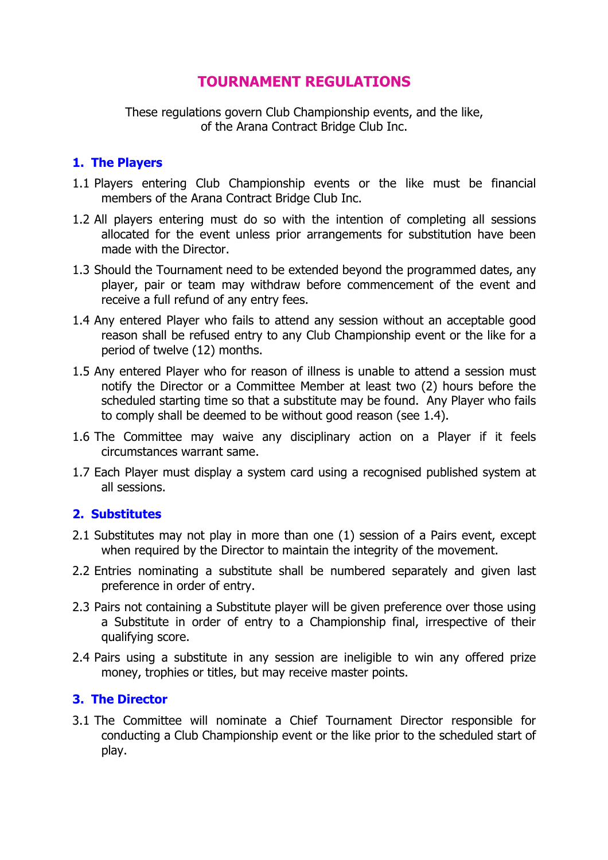# **TOURNAMENT REGULATIONS**

These regulations govern Club Championship events, and the like, of the Arana Contract Bridge Club Inc.

## **1. The Players**

- 1.1 Players entering Club Championship events or the like must be financial members of the Arana Contract Bridge Club Inc.
- 1.2 All players entering must do so with the intention of completing all sessions allocated for the event unless prior arrangements for substitution have been made with the Director.
- 1.3 Should the Tournament need to be extended beyond the programmed dates, any player, pair or team may withdraw before commencement of the event and receive a full refund of any entry fees.
- 1.4 Any entered Player who fails to attend any session without an acceptable good reason shall be refused entry to any Club Championship event or the like for a period of twelve (12) months.
- 1.5 Any entered Player who for reason of illness is unable to attend a session must notify the Director or a Committee Member at least two (2) hours before the scheduled starting time so that a substitute may be found. Any Player who fails to comply shall be deemed to be without good reason (see 1.4).
- 1.6 The Committee may waive any disciplinary action on a Player if it feels circumstances warrant same.
- 1.7 Each Player must display a system card using a recognised published system at all sessions.

### **2. Substitutes**

- 2.1 Substitutes may not play in more than one (1) session of a Pairs event, except when required by the Director to maintain the integrity of the movement.
- 2.2 Entries nominating a substitute shall be numbered separately and given last preference in order of entry.
- 2.3 Pairs not containing a Substitute player will be given preference over those using a Substitute in order of entry to a Championship final, irrespective of their qualifying score.
- 2.4 Pairs using a substitute in any session are ineligible to win any offered prize money, trophies or titles, but may receive master points.

# **3. The Director**

3.1 The Committee will nominate a Chief Tournament Director responsible for conducting a Club Championship event or the like prior to the scheduled start of play.